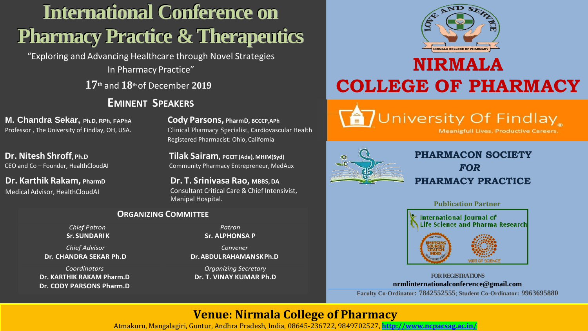# **International Conference on Pharmacy Practice & Therapeutics**

"Exploring and Advancing Healthcare through Novel Strategies In Pharmacy Practice"

**17th** and **18th** of December **2019**

### **EMINENT SPEAKERS**

**M. Chandra Sekar, Ph.D, RPh, FAPhA Cody Parsons, PharmD, BCCCP,APh**

Professor, The University of Findlay, OH, USA. Clinical Pharmacy Specialist, Cardiovascular Health Registered Pharmacist: Ohio, California

**Dr. Nitesh Shroff**, **Ph.D Tilak Sairam**, **PGCIT** (Ade), MHIM(Syd) CEO and Co – Founder, HealthCloudAI Community Pharmacy Entrepreneur, MedAux

**Dr. Karthik Rakam, PharmD Dr. T. Srinivasa Rao, MBBS,DA** Medical Advisor, HealthCloudAI Consultant Critical Care & Chief Intensivist, Manipal Hospital.

#### **ORGANIZING COMMITTEE**

*Chief Patron* **Sr.SUNDARIK**

*Chief Advisor* **Dr. CHANDRA SEKAR Ph.D**

*Coordinators* **Dr. KARTHIK RAKAM Pharm.D Dr. CODY PARSONS Pharm.D**

*Patron* **Sr. ALPHONSA P**

*Convener* **Dr.ABDULRAHAMANSKPh.D**

*Organizing Secretary*

**REGISTRATIONFEE:**



# **NIRMALA COLLEGE OF PHARMACY**

**TUniversity Of Findlay** 

**Meanigfull Lives. Productive Careers.** 



### **PHARMACON SOCIETY**  *FOR* **PHARMACY PRACTICE**



**Dr. T. VINAY KUMAR Ph.D FORREGISTRATIONS nrmlinternationalconference@gmail.com Faculty Co-Ordinator: 7842552555**; **Student Co-Ordinator: 9963695880**

## **Venue: Nirmala College of Pharmacy, Venue: Nirmala College of Pharmacy**

Atmakuru, Mangalagiri, Guntur, Andhra Pradesh, India, 08645-236722, 9849702527, <http://www.ncpacsag.ac.in/>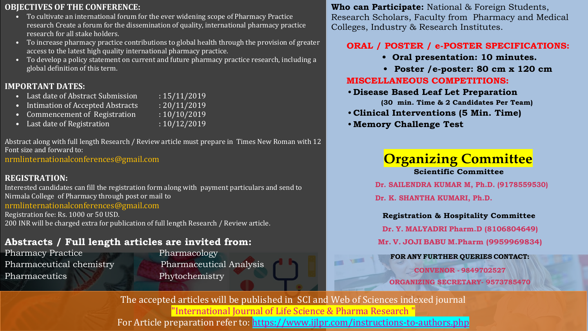#### **OBJECTIVES OF THE CONFERENCE:**

- To cultivate an international forum for the ever widening scope of Pharmacy Practice research Create a forum for the dissemination of quality, international pharmacy practice research for all stake holders.
- To increase pharmacy practice contributions to global health through the provision of greater access to the latest high quality international pharmacy practice.
- To develop a policy statement on current and future pharmacy practice research, including a global definition of this term.

#### **IMPORTANT DATES:**

- Last date of Abstract Submission : 15/11/2019
- Intimation of Accepted Abstracts : 20/11/2019
- Commencement of Registration : 10/10/2019
- Last date of Registration : 10/12/2019

Abstract along with full length Research / Review article must prepare in Times New Roman with 12 Font size and forward to:

nrmlinternationalconferences@gmail.com

#### **REGISTRATION:**

Interested candidates can fill the registration form along with payment particulars and send to Nirmala College of Pharmacy through post or mail to nrmlinternationalconferences@gmail.com

Registration fee: Rs. 1000 or 50 USD. 200 INR will be charged extra for publication of full length Research / Review article.

#### **Abstracts / Full length articles are invited from:**

Pharmacy Practice Pharmacology Pharmaceutics Phytochemistry

Pharmaceutical chemistry Pharmaceutical Analysis

**Who can Participate:** National & Foreign Students, Research Scholars, Faculty from Pharmacy and Medical Colleges, Industry & Research Institutes.

#### **ORAL / POSTER / e-POSTER SPECIFICATIONS:**

- **Oral presentation: 10 minutes.**
- **• Poster /e-poster: 80 cm x 120 cm MISCELLANEOUS COMPETITIONS:**
- **Disease Based Leaf Let Preparation**

**(30 min. Time & 2 Candidates Per Team)**

- **Clinical Interventions (5 Min. Time)**
- **Memory Challenge Test**

# **Organizing Committee**

**Scientific Committee**

**Dr. SAILENDRA KUMAR M, Ph.D. (9178559530) Dr. K. SHANTHA KUMARI, Ph.D.**

**Registration & Hospitality Committee**

**Dr. Y. MALYADRI Pharm.D (8106804649)**

**Mr. V. JOJI BABU M.Pharm (9959969834)**

#### **FOR ANY FURTHER QUERIES CONTACT:**

**CONVENOR - 9849702527 ORGANIZING SECRETARY- 9573785470**

The accepted articles will be published in SCI and Web of Sciences indexed journal "International Journal of Life Science & Pharma Research " For Article preparation refer to:<https://www.ijlpr.com/instructions-to-authors.php>